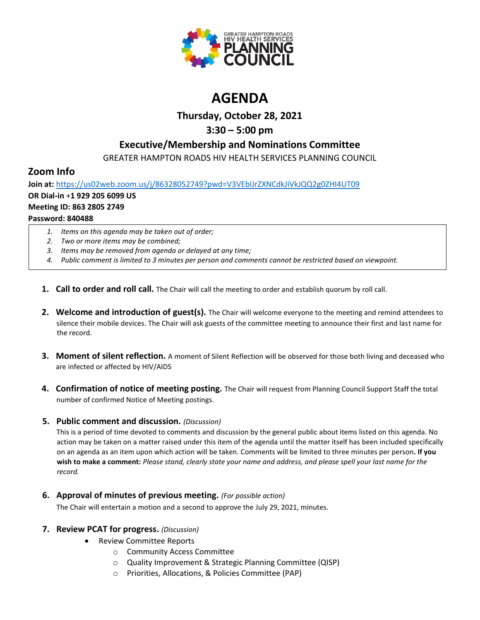

# **AGENDA**

### **Thursday, October 28, 2021**

## **3:30 – 5:00 pm**

### **Executive/Membership and Nominations Committee**

GREATER HAMPTON ROADS HIV HEALTH SERVICES PLANNING COUNCIL

### **Zoom Info**

**Join at:** <https://us02web.zoom.us/j/86328052749?pwd=V3VEblJrZXNCdkJiVkJQQ2g0ZHI4UT09> **OR Dial-in** +**1 929 205 6099 US Meeting ID: 863 2805 2749 Password: 840488**

- *1. Items on this agenda may be taken out of order;*
- *2. Two or more items may be combined;*
- *3. Items may be removed from agenda or delayed at any time;*
- *4. Public comment is limited to 3 minutes per person and comments cannot be restricted based on viewpoint.*
- **1. Call to order and roll call.** The Chair will call the meeting to order and establish quorum by roll call.
- **2. Welcome and introduction of guest(s).** The Chair will welcome everyone to the meeting and remind attendees to silence their mobile devices. The Chair will ask guests of the committee meeting to announce their first and last name for the record.
- **3. Moment of silent reflection.** A moment of Silent Reflection will be observed for those both living and deceased who are infected or affected by HIV/AIDS
- **4. Confirmation of notice of meeting posting.** The Chair will request from Planning Council Support Staff the total number of confirmed Notice of Meeting postings.

### **5. Public comment and discussion.** *(Discussion)*

This is a period of time devoted to comments and discussion by the general public about items listed on this agenda. No action may be taken on a matter raised under this item of the agenda until the matter itself has been included specifically on an agenda as an item upon which action will be taken. Comments will be limited to three minutes per person**. If you wish to make a comment:** *Please stand, clearly state your name and address, and please spell your last name for the record.*

**6. Approval of minutes of previous meeting.** *(For possible action)*

The Chair will entertain a motion and a second to approve the July 29, 2021, minutes.

### **7. Review PCAT for progress.** *(Discussion)*

- Review Committee Reports
	- o Community Access Committee
	- o Quality Improvement & Strategic Planning Committee (QISP)
	- o Priorities, Allocations, & Policies Committee (PAP)